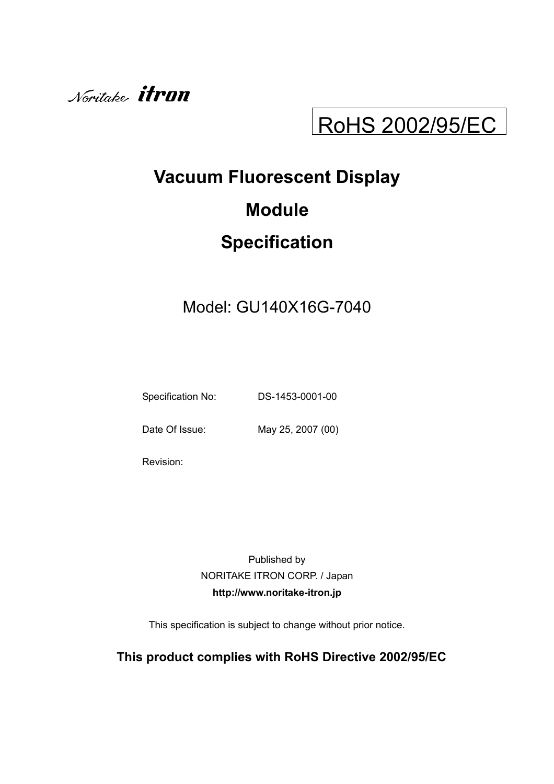

# RoHS 2002/95/EC

# **Vacuum Fluorescent Display Module Specification**

# Model: GU140X16G-7040

Specification No: DS-1453-0001-00

Date Of Issue: May 25, 2007 (00)

Revision:

Published by NORITAKE ITRON CORP. / Japan **http://www.noritake-itron.jp**

This specification is subject to change without prior notice.

# **This product complies with RoHS Directive 2002/95/EC**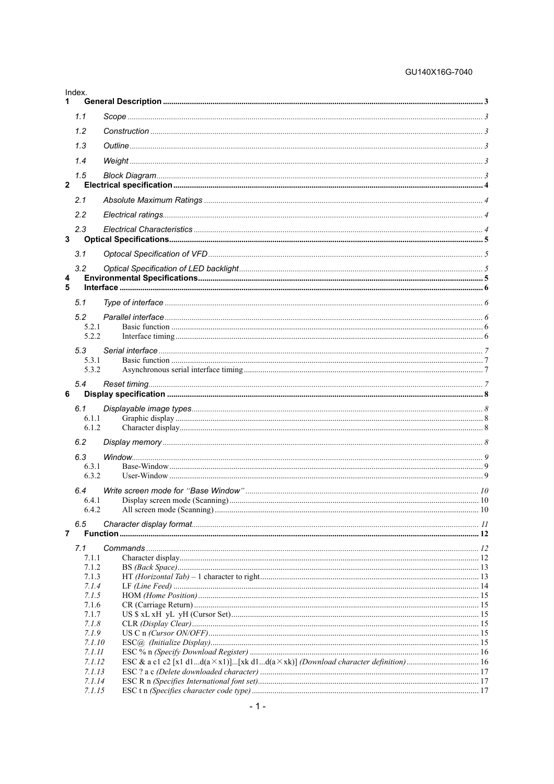#### GU140X16G-7040

| Index.              |  |
|---------------------|--|
| 1.                  |  |
| 1.1                 |  |
| 1.2                 |  |
| 1.3                 |  |
| 1.4                 |  |
|                     |  |
| 1.5<br>$\mathbf{2}$ |  |
| 2.1                 |  |
| 2.2                 |  |
|                     |  |
| 2.3<br>3            |  |
| 3.1                 |  |
|                     |  |
| 3.2<br>4            |  |
| 5                   |  |
| 5.1                 |  |
| 5.2                 |  |
| 5.2.1               |  |
| 5.2.2               |  |
| 5.3<br>5.3.1        |  |
| 5.3.2               |  |
| 5.4                 |  |
| 6                   |  |
| 6.1                 |  |
| 6.1.1<br>6.1.2      |  |
| 6.2                 |  |
|                     |  |
| 6.3<br>6.3.1        |  |
| 6.3.2               |  |
| 6.4                 |  |
| 6.4.1<br>6.4.2      |  |
|                     |  |
| 6.5<br>7            |  |
| 7.1                 |  |
| 7.1.1               |  |
| 7.1.2               |  |
| 7.1.3<br>7.1.4      |  |
| 7.1.5               |  |
| 7.1.6               |  |
| 7.1.7<br>7.1.8      |  |
| 7.1.9               |  |
| 7.1.10<br>7.1.11    |  |
| 7.1.12              |  |
| 7.1.13              |  |
| 7.1.14<br>7.1.15    |  |
|                     |  |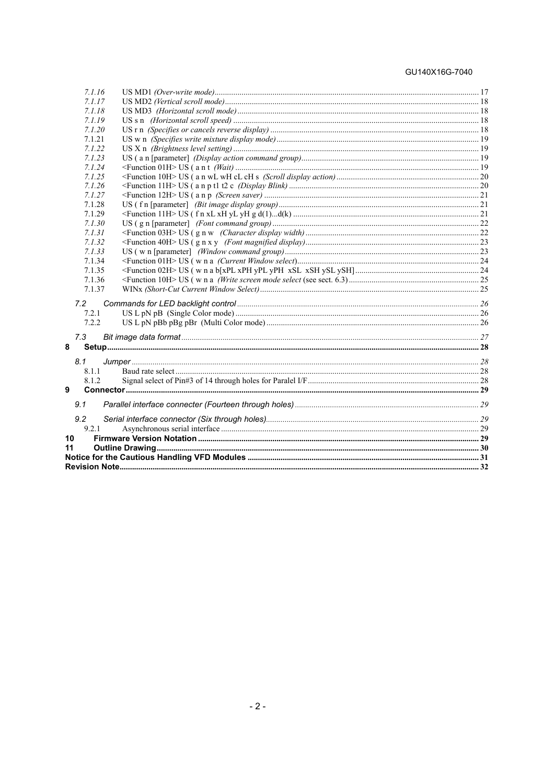#### GU140X16G-7040

| 7.1.16 |  |
|--------|--|
| 7.1.17 |  |
| 7.1.18 |  |
| 7.1.19 |  |
| 7.1.20 |  |
| 7.1.21 |  |
| 7.1.22 |  |
| 7.1.23 |  |
| 7.1.24 |  |
| 7.1.25 |  |
| 7.1.26 |  |
| 7.1.27 |  |
| 7.1.28 |  |
| 7.1.29 |  |
| 7.1.30 |  |
| 7.1.31 |  |
| 7.1.32 |  |
| 7.1.33 |  |
| 7.1.34 |  |
| 7.1.35 |  |
| 7.1.36 |  |
| 7.1.37 |  |
| 7.2    |  |
| 7.2.1  |  |
| 7.2.2  |  |
| 7.3    |  |
| 8      |  |
|        |  |
| 8.1    |  |
| 8.1.1  |  |
| 8.1.2  |  |
| 9      |  |
| 9.1    |  |
| 9.2    |  |
| 9.2.1  |  |
| 10     |  |
| 11     |  |
|        |  |
|        |  |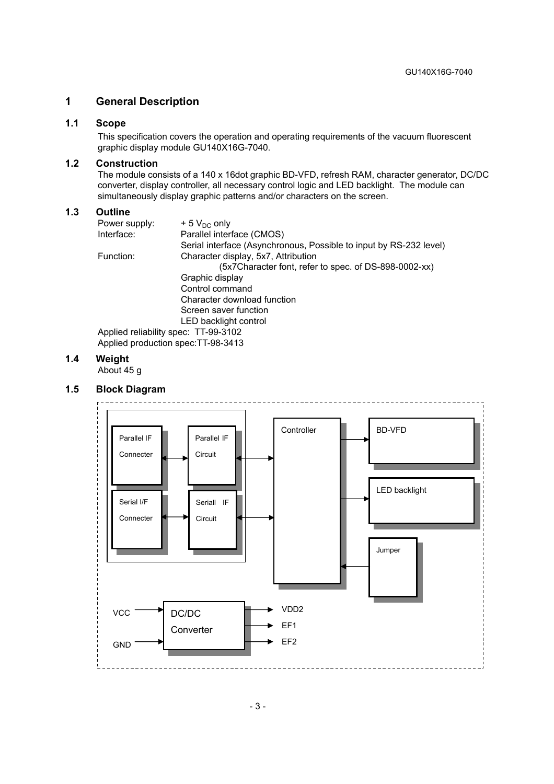#### **1 General Description**

#### **1.1 Scope**

This specification covers the operation and operating requirements of the vacuum fluorescent graphic display module GU140X16G-7040.

#### **1.2 Construction**

The module consists of a 140 x 16dot graphic BD-VFD, refresh RAM, character generator, DC/DC converter, display controller, all necessary control logic and LED backlight. The module can simultaneously display graphic patterns and/or characters on the screen.

#### **1.3 Outline**

| Power supply:                        | $+5$ V <sub>DC</sub> only                                          |
|--------------------------------------|--------------------------------------------------------------------|
| Interface:                           | Parallel interface (CMOS)                                          |
|                                      | Serial interface (Asynchronous, Possible to input by RS-232 level) |
| Function:                            | Character display, 5x7, Attribution                                |
|                                      | (5x7Character font, refer to spec. of DS-898-0002-xx)              |
|                                      | Graphic display                                                    |
|                                      | Control command                                                    |
|                                      | Character download function                                        |
|                                      | Screen saver function                                              |
|                                      | LED backlight control                                              |
| Applied reliability spec: TT-99-3102 |                                                                    |
| Applied production spec: TT-98-3413  |                                                                    |

#### **1.4 Weight**

About 45 g

#### **1.5 Block Diagram**

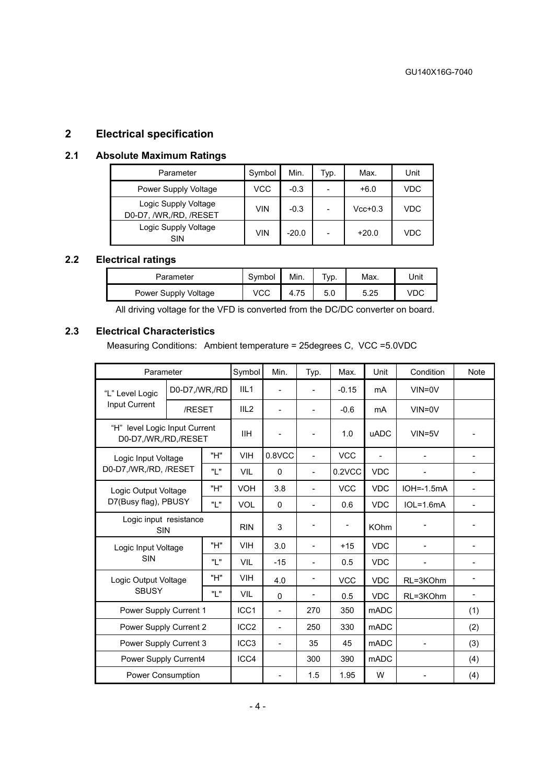# **2 Electrical specification**

#### **2.1 Absolute Maximum Ratings**

| Parameter                                      | Symbol     | Min.    | Typ.                     | Max.      | Unit |
|------------------------------------------------|------------|---------|--------------------------|-----------|------|
| Power Supply Voltage                           | VCC        | $-0.3$  | -                        | $+6.0$    | VDC  |
| Logic Supply Voltage<br>D0-D7, /WR,/RD, /RESET | <b>VIN</b> | $-0.3$  | $\overline{\phantom{0}}$ | $Vcc+0.3$ | VDC  |
| Logic Supply Voltage<br>SIN                    | <b>VIN</b> | $-20.0$ | $\overline{\phantom{0}}$ | $+20.0$   | VDC  |

# **2.2 Electrical ratings**

| Parameter            | Symbol | Min. | <sup>т</sup> ур. | Max. | Unit |
|----------------------|--------|------|------------------|------|------|
| Power Supply Voltage | vcc    | 4.75 | 5.0              | 5.25 | vdc  |

All driving voltage for the VFD is converted from the DC/DC converter on board.

# **2.3 Electrical Characteristics**

Measuring Conditions: Ambient temperature = 25degrees C, VCC =5.0VDC

| Parameter                                             |                                      | Symbol           | Min.             | Typ.      | Max.                     | Unit        | Condition        | <b>Note</b>  |                          |
|-------------------------------------------------------|--------------------------------------|------------------|------------------|-----------|--------------------------|-------------|------------------|--------------|--------------------------|
| "L" Level Logic                                       | D0-D7,/WR,/RD                        |                  | III <sub>1</sub> |           | $\blacksquare$           | $-0.15$     | mA               | $VIN = 0V$   |                          |
| Input Current                                         | /RESET                               |                  | III <sub>2</sub> |           | $\blacksquare$           | $-0.6$      | mA               | $VIN = 0V$   |                          |
| "H" level Logic Input Current<br>D0-D7,/WR,/RD,/RESET |                                      |                  | <b>IIH</b>       |           | $\overline{\phantom{a}}$ | 1.0         | <b>uADC</b>      | $VIN = 5V$   |                          |
| Logic Input Voltage                                   |                                      | "H"              | <b>VIH</b>       | $0.8$ VCC | $\overline{a}$           | <b>VCC</b>  | ÷,               |              |                          |
| D0-D7,/WR,/RD, /RESET                                 |                                      | "I"              | VIL              | 0         | ä,                       | 0.2VCC      | <b>VDC</b>       |              |                          |
| Logic Output Voltage                                  |                                      | "H"              | <b>VOH</b>       | 3.8       |                          | <b>VCC</b>  | <b>VDC</b>       | $IOH=.1.5mA$ |                          |
| D7(Busy flag), PBUSY                                  |                                      | Պ "              | <b>VOL</b>       | $\Omega$  | ÷.                       | 0.6         | <b>VDC</b>       | $IOL=1.6mA$  |                          |
|                                                       | Logic input resistance<br><b>SIN</b> |                  | <b>RIN</b>       | 3         |                          | -           | <b>KOhm</b>      |              |                          |
|                                                       | Logic Input Voltage                  |                  | <b>VIH</b>       | 3.0       | $\overline{\phantom{a}}$ | $+15$       | <b>VDC</b>       |              |                          |
| <b>SIN</b>                                            |                                      | יי ויי           | <b>VIL</b>       | $-15$     |                          | 0.5         | <b>VDC</b>       |              |                          |
| Logic Output Voltage                                  |                                      | "H"              | <b>VIH</b>       | 4.0       | $\overline{\phantom{a}}$ | <b>VCC</b>  | <b>VDC</b>       | RL=3KOhm     | ۰                        |
| <b>SBUSY</b>                                          |                                      | "ו "             | <b>VIL</b>       | $\Omega$  |                          | 0.5         | <b>VDC</b>       | RL=3KOhm     | $\overline{\phantom{0}}$ |
| Power Supply Current 1                                |                                      | ICC <sub>1</sub> |                  | 270       | 350                      | <b>mADC</b> |                  | (1)          |                          |
| Power Supply Current 2                                |                                      | ICC <sub>2</sub> |                  | 250       | 330                      | <b>mADC</b> |                  | (2)          |                          |
| Power Supply Current 3                                |                                      | ICC <sub>3</sub> |                  | 35        | 45                       | <b>mADC</b> |                  | (3)          |                          |
| Power Supply Current4                                 |                                      |                  | ICC4             |           | 300                      | 390         | m <sub>ADC</sub> |              | (4)                      |
|                                                       | Power Consumption                    |                  |                  |           | 1.5                      | 1.95        | W                |              | (4)                      |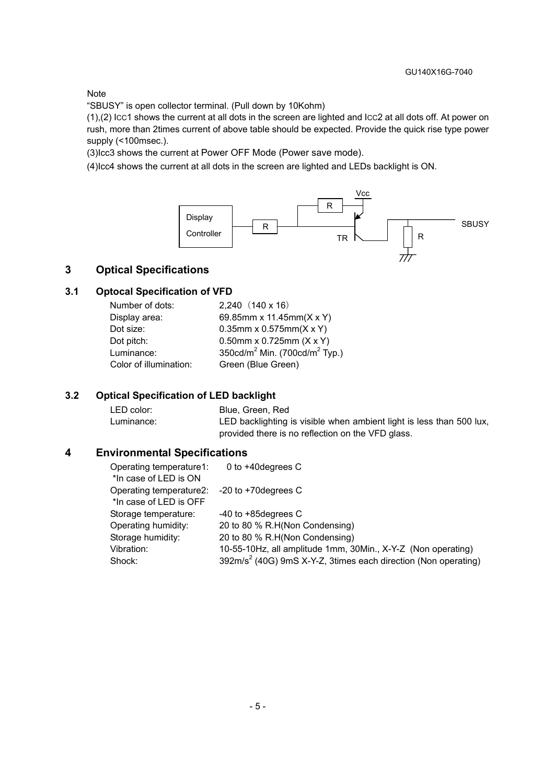#### Note

"SBUSY" is open collector terminal. (Pull down by 10Kohm)

(1),(2) ICC1 shows the current at all dots in the screen are lighted and ICC2 at all dots off. At power on rush, more than 2times current of above table should be expected. Provide the quick rise type power supply (<100msec.).

(3)Icc3 shows the current at Power OFF Mode (Power save mode).

(4)Icc4 shows the current at all dots in the screen are lighted and LEDs backlight is ON.



#### **3 Optical Specifications**

#### **3.1 Optocal Specification of VFD**

| $2,240$ $(140 \times 16)$                             |
|-------------------------------------------------------|
| 69.85mm x 11.45mm(X x Y)                              |
| 0.35mm x 0.575mm( $X$ x Y)                            |
| 0.50mm x 0.725mm $(X \times Y)$                       |
| 350cd/m <sup>2</sup> Min. (700cd/m <sup>2</sup> Typ.) |
| Green (Blue Green)                                    |
|                                                       |

#### **3.2 Optical Specification of LED backlight**

| LED color: | Blue, Green, Red                                                     |
|------------|----------------------------------------------------------------------|
| Luminance: | LED backlighting is visible when ambient light is less than 500 lux, |
|            | provided there is no reflection on the VFD glass.                    |

#### **4 Environmental Specifications**

| Operating temperature1:<br>*In case of LED is ON | 0 to $+40$ degrees C                                                       |
|--------------------------------------------------|----------------------------------------------------------------------------|
| Operating temperature2:                          | $-20$ to $+70$ degrees C                                                   |
| *In case of LED is OFF                           |                                                                            |
| Storage temperature:                             | $-40$ to $+85$ degrees C                                                   |
| Operating humidity:                              | 20 to 80 % R.H(Non Condensing)                                             |
| Storage humidity:                                | 20 to 80 % R.H(Non Condensing)                                             |
| Vibration:                                       | 10-55-10Hz, all amplitude 1mm, 30Min., X-Y-Z (Non operating)               |
| Shock:                                           | 392m/s <sup>2</sup> (40G) 9mS X-Y-Z, 3times each direction (Non operating) |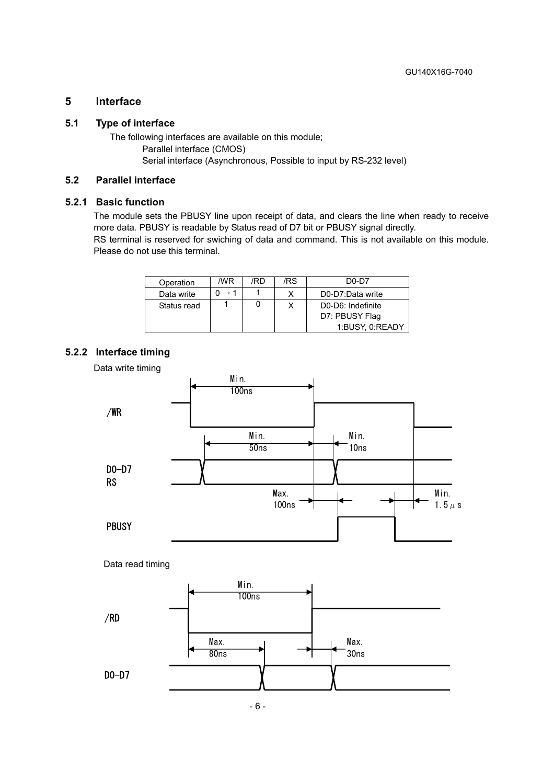### **5 Interface**

#### **5.1 Type of interface**

The following interfaces are available on this module; Parallel interface (CMOS) Serial interface (Asynchronous, Possible to input by RS-232 level)

#### **5.2 Parallel interface**

#### **5.2.1 Basic function**

The module sets the PBUSY line upon receipt of data, and clears the line when ready to receive more data. PBUSY is readable by Status read of D7 bit or PBUSY signal directly.

RS terminal is reserved for swiching of data and command. This is not available on this module. Please do not use this terminal.

| Operation   | /WR | /RD | /RS | $D0-D7$           |
|-------------|-----|-----|-----|-------------------|
| Data write  |     |     |     | D0-D7:Data write  |
| Status read |     |     |     | D0-D6: Indefinite |
|             |     |     |     | D7: PBUSY Flag    |
|             |     |     |     | 1:BUSY, 0:READY   |

#### **5.2.2 Interface timing**

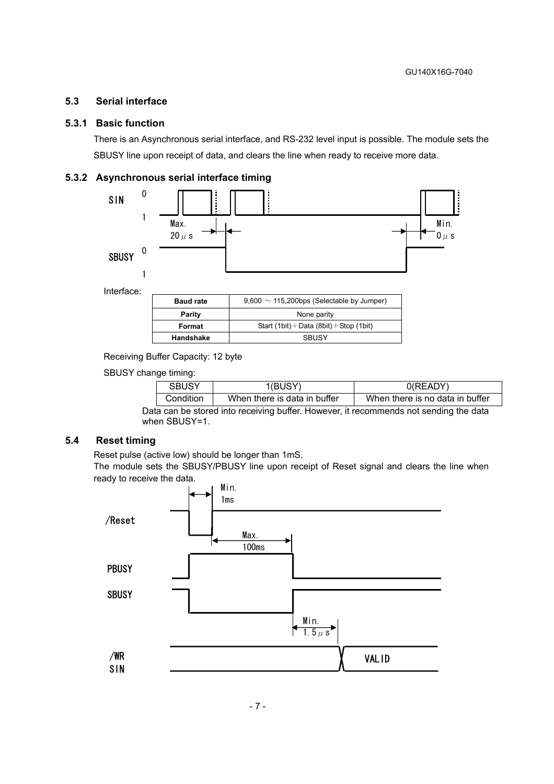#### **5.3 Serial interface**

#### **5.3.1 Basic function**

There is an Asynchronous serial interface, and RS-232 level input is possible. The module sets the SBUSY line upon receipt of data, and clears the line when ready to receive more data.

#### **5.3.2 Asynchronous serial interface timing**



| <b>Baud rate</b> | $9,600 \sim 115,200$ bps (Selectable by Jumper) |
|------------------|-------------------------------------------------|
| <b>Parity</b>    | None parity                                     |
| Format           | Start $(1bit) + Data (8bit) + Stop (1bit)$      |
| Handshake        | <b>SBUSY</b>                                    |
|                  |                                                 |

Receiving Buffer Capacity: 12 byte

SBUSY change timing:

| SBUSY<br>I(BUSY) |                              | $0$ (READY)                     |
|------------------|------------------------------|---------------------------------|
| Condition        | When there is data in buffer | When there is no data in buffer |

Data can be stored into receiving buffer. However, it recommends not sending the data when SBUSY=1.

#### **5.4 Reset timing**

Reset pulse (active low) should be longer than 1mS.

The module sets the SBUSY/PBUSY line upon receipt of Reset signal and clears the line when ready to receive the data.

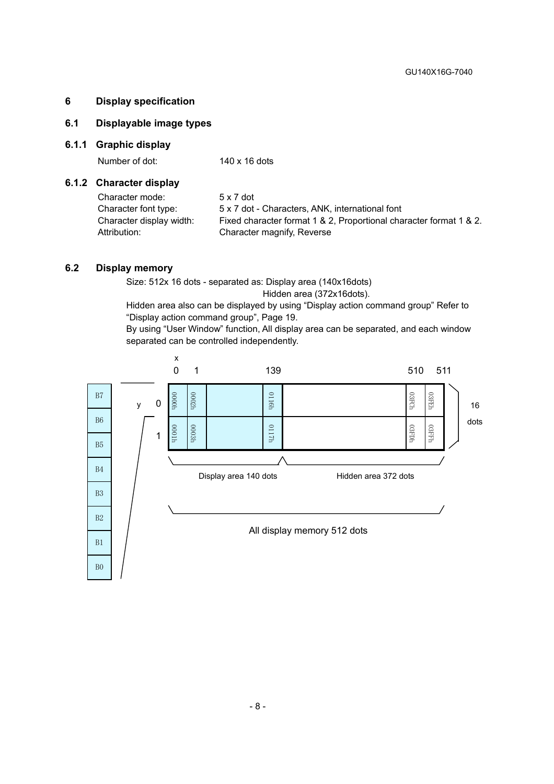#### **6 Display specification**

#### **6.1 Displayable image types**

#### **6.1.1 Graphic display**

Number of dot: 140 x 16 dots

#### **6.1.2 Character display**

| Character mode:          | $5 \times 7$ dot                                                   |
|--------------------------|--------------------------------------------------------------------|
| Character font type:     | 5 x 7 dot - Characters, ANK, international font                    |
| Character display width: | Fixed character format 1 & 2, Proportional character format 1 & 2. |
| Attribution:             | Character magnify, Reverse                                         |

#### **6.2 Display memory**

Size: 512x 16 dots - separated as: Display area (140x16dots) Hidden area (372x16dots).

Hidden area also can be displayed by using "Display action command group" Refer to "Display action command group", Page 19.

By using "User Window" function, All display area can be separated, and each window separated can be controlled independently.

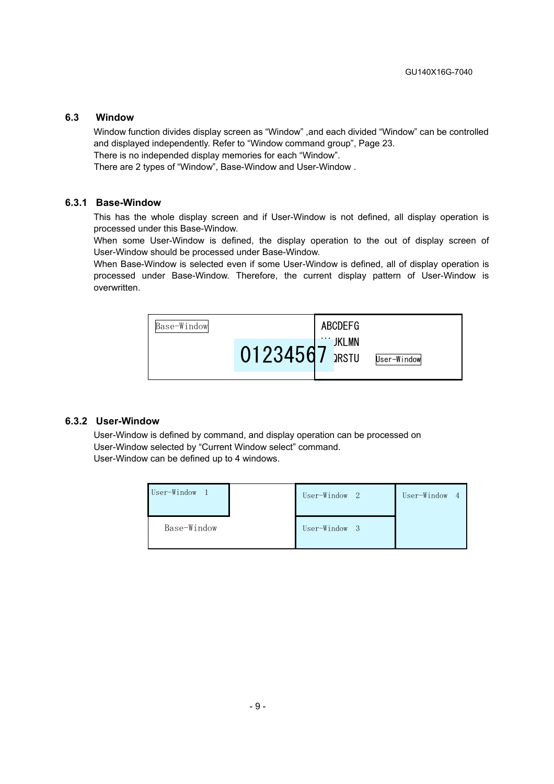#### **6.3 Window**

Window function divides display screen as "Window" ,and each divided "Window" can be controlled and displayed independently. Refer to "Window command group", Page 23.

There is no independed display memories for each "Window".

There are 2 types of "Window", Base-Window and User-Window .

#### **6.3.1 Base-Window**

This has the whole display screen and if User-Window is not defined, all display operation is processed under this Base-Window.

When some User-Window is defined, the display operation to the out of display screen of User-Window should be processed under Base-Window.

When Base-Window is selected even if some User-Window is defined, all of display operation is processed under Base-Window. Therefore, the current display pattern of User-Window is overwritten.



#### **6.3.2 User-Window**

User-Window is defined by command, and display operation can be processed on User-Window selected by "Current Window select" command. User-Window can be defined up to 4 windows.

| User-Window | User-Window 2 | User-Window<br>$\overline{4}$ |
|-------------|---------------|-------------------------------|
| Base-Window | User-Window 3 |                               |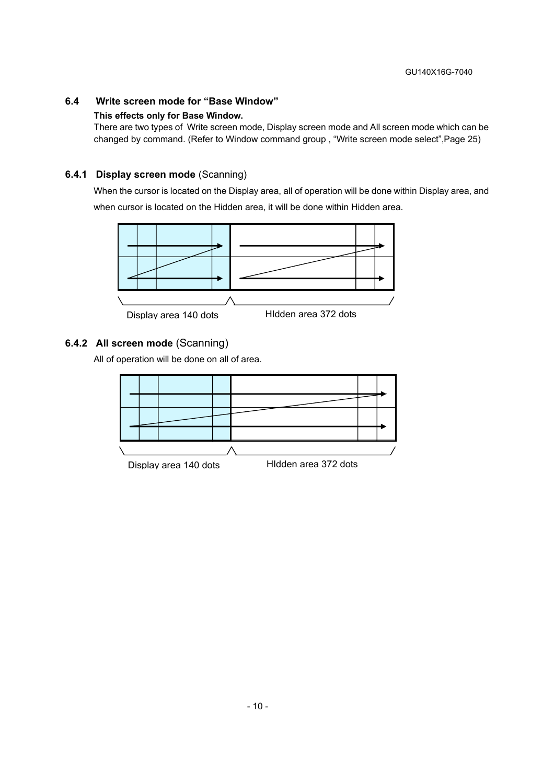# **6.4 Write screen mode for "Base Window"**

#### **This effects only for Base Window.**

There are two types of Write screen mode, Display screen mode and All screen mode which can be changed by command. (Refer to Window command group , "Write screen mode select",Page 25)

#### **6.4.1 Display screen mode** (Scanning)

When the cursor is located on the Display area, all of operation will be done within Display area, and when cursor is located on the Hidden area, it will be done within Hidden area.



#### **6.4.2 All screen mode** (Scanning)

All of operation will be done on all of area.



- 10 -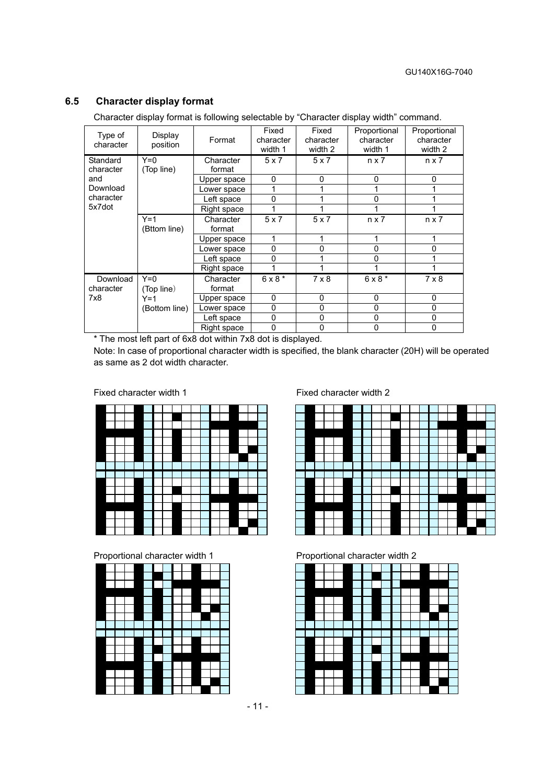### **6.5 Character display format**

Character display format is following selectable by "Character display width" command.

| Type of<br>character  | Display<br>position   | Format              | Fixed<br>character<br>width 1 | Fixed<br>character<br>width 2 | Proportional<br>character<br>width 1 | Proportional<br>character<br>width 2 |
|-----------------------|-----------------------|---------------------|-------------------------------|-------------------------------|--------------------------------------|--------------------------------------|
| Standard<br>character | $Y=0$<br>(Top line)   | Character<br>format | 5x7                           | 5x7                           | $n \times 7$                         | $n \times 7$                         |
| and                   |                       | Upper space         | 0                             | 0                             | 0                                    | 0                                    |
| Download              |                       | Lower space         |                               |                               |                                      |                                      |
| character             |                       | Left space          | 0                             |                               | $\Omega$                             |                                      |
| 5x7dot                |                       | Right space         |                               |                               | 1                                    |                                      |
|                       | $Y=1$<br>(Bttom line) | Character<br>format | 5x7                           | 5x7                           | $n \times 7$                         | $n \times 7$                         |
|                       |                       | Upper space         | 1                             | 1                             | 1                                    |                                      |
|                       |                       | Lower space         | 0                             | 0                             | 0                                    | ი                                    |
|                       |                       | Left space          | $\mathbf{0}$                  |                               | 0                                    |                                      |
|                       |                       | Right space         |                               |                               |                                      |                                      |
| Download<br>character | $Y=0$<br>(Top line)   | Character<br>format | $6 \times 8$ *                | $7 \times 8$                  | $6 \times 8$ *                       | $7 \times 8$                         |
| 7x8                   | $Y=1$                 | Upper space         | $\mathbf{0}$                  | $\mathbf{0}$                  | 0                                    | $\Omega$                             |
|                       | (Bottom line)         | Lower space         | $\mathbf{0}$                  | 0                             | $\Omega$                             | 0                                    |
|                       |                       | Left space          | 0                             | $\mathbf{0}$                  | 0                                    | 0                                    |
|                       |                       | Right space         | 0                             | 0                             | 0                                    | 0                                    |

\* The most left part of 6x8 dot within 7x8 dot is displayed.

Note: In case of proportional character width is specified, the blank character (20H) will be operated as same as 2 dot width character.



Proportional character width 1 Proportional character width 2



Fixed character width 1 Fixed character width 2



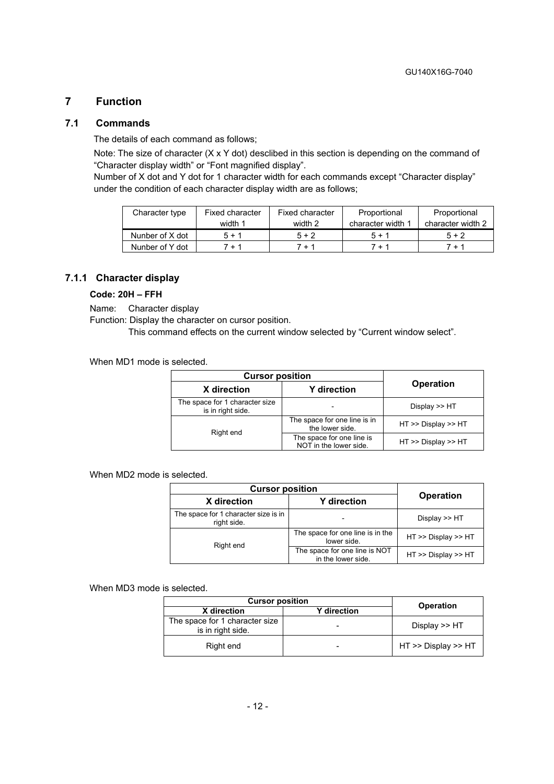### **7 Function**

#### **7.1 Commands**

The details of each command as follows;

Note: The size of character (X x Y dot) desclibed in this section is depending on the command of "Character display width" or "Font magnified display".

Number of X dot and Y dot for 1 character width for each commands except "Character display" under the condition of each character display width are as follows;

| Character type  | Fixed character | Fixed character | Proportional      | Proportional      |
|-----------------|-----------------|-----------------|-------------------|-------------------|
|                 | width 1         | width 2         | character width 1 | character width 2 |
| Nunber of X dot | $5 + 1$         | $5 + 2$         | $5 + 1$           | $5 + 2$           |
| Nunber of Y dot | 7 + 1           | 7 + 1           | 7 + 1             | $7 + 1$           |

#### **7.1.1 Character display**

#### **Code: 20H – FFH**

Name: Character display

Function: Display the character on cursor position.

This command effects on the current window selected by "Current window select".

When MD1 mode is selected.

| <b>Cursor position</b>                              |                                                     |                     |
|-----------------------------------------------------|-----------------------------------------------------|---------------------|
| X direction                                         | <b>Y</b> direction                                  | <b>Operation</b>    |
| The space for 1 character size<br>is in right side. |                                                     | Display $>>$ HT     |
| Right end                                           | The space for one line is in<br>the lower side.     | HT >> Display >> HT |
|                                                     | The space for one line is<br>NOT in the lower side. | HT >> Display >> HT |

When MD2 mode is selected.

| <b>Cursor position</b>                              |                                                     |                     |
|-----------------------------------------------------|-----------------------------------------------------|---------------------|
| X direction                                         | <b>Y</b> direction                                  | <b>Operation</b>    |
| The space for 1 character size is in<br>right side. |                                                     | Display $\gt$ HT    |
| Right end                                           | The space for one line is in the<br>lower side.     | HT >> Display >> HT |
|                                                     | The space for one line is NOT<br>in the lower side. | HT >> Display >> HT |

When MD3 mode is selected.

| <b>Cursor position</b>                              | <b>Operation</b>   |                           |
|-----------------------------------------------------|--------------------|---------------------------|
| X direction                                         | <b>Y</b> direction |                           |
| The space for 1 character size<br>is in right side. | -                  | Display >> HT             |
| Right end                                           | -                  | $HT \gg$ Display $\gg$ HT |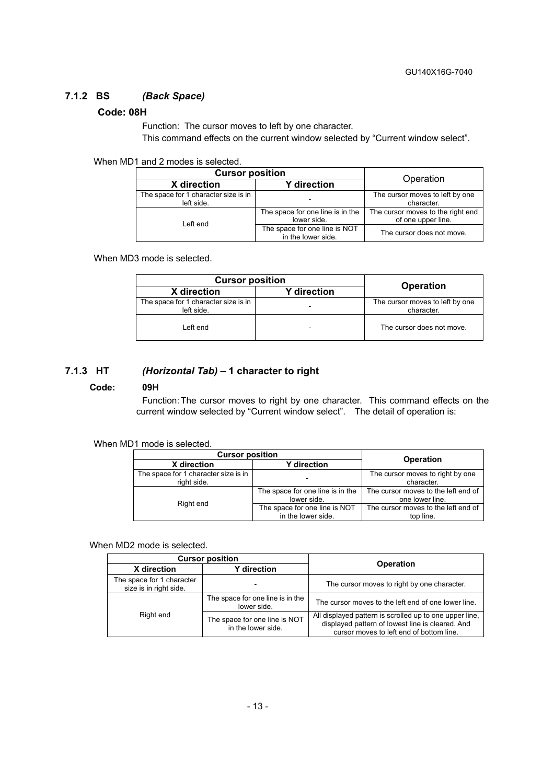#### **7.1.2 BS** *(Back Space)*

#### **Code: 08H**

Function: The cursor moves to left by one character. This command effects on the current window selected by "Current window select".

#### When MD1 and 2 modes is selected.

| <b>Cursor position</b>                             |                                                     |                                                         |
|----------------------------------------------------|-----------------------------------------------------|---------------------------------------------------------|
| X direction                                        | <b>Y</b> direction                                  | Operation                                               |
| The space for 1 character size is in<br>left side. |                                                     | The cursor moves to left by one<br>character.           |
| Left end                                           | The space for one line is in the<br>lower side.     | The cursor moves to the right end<br>of one upper line. |
|                                                    | The space for one line is NOT<br>in the lower side. | The cursor does not move.                               |

When MD3 mode is selected.

| <b>Cursor position</b>                             |                    |                                               |  |
|----------------------------------------------------|--------------------|-----------------------------------------------|--|
| X direction                                        | <b>Y</b> direction | <b>Operation</b>                              |  |
| The space for 1 character size is in<br>left side. |                    | The cursor moves to left by one<br>character. |  |
| Left end                                           |                    | The cursor does not move.                     |  |

#### **7.1.3 HT** *(Horizontal Tab)* **– 1 character to right**

#### **Code: 09H**

Function: The cursor moves to right by one character. This command effects on the current window selected by "Current window select". The detail of operation is:

#### When MD1 mode is selected.

| <b>Cursor position</b>                              | <b>Operation</b>                                    |                                                        |
|-----------------------------------------------------|-----------------------------------------------------|--------------------------------------------------------|
| X direction                                         | <b>Y</b> direction                                  |                                                        |
| The space for 1 character size is in<br>right side. |                                                     | The cursor moves to right by one<br>character.         |
| Right end                                           | The space for one line is in the<br>lower side.     | The cursor moves to the left end of<br>one lower line. |
|                                                     | The space for one line is NOT<br>in the lower side. | The cursor moves to the left end of<br>top line.       |

#### When MD2 mode is selected.

| <b>Cursor position</b>                              |                                                     |                                                                                                                                                         |
|-----------------------------------------------------|-----------------------------------------------------|---------------------------------------------------------------------------------------------------------------------------------------------------------|
| X direction                                         | <b>Y</b> direction                                  | <b>Operation</b>                                                                                                                                        |
| The space for 1 character<br>size is in right side. |                                                     | The cursor moves to right by one character.                                                                                                             |
|                                                     | The space for one line is in the<br>lower side.     | The cursor moves to the left end of one lower line.                                                                                                     |
| Right end                                           | The space for one line is NOT<br>in the lower side. | All displayed pattern is scrolled up to one upper line,<br>displayed pattern of lowest line is cleared. And<br>cursor moves to left end of bottom line. |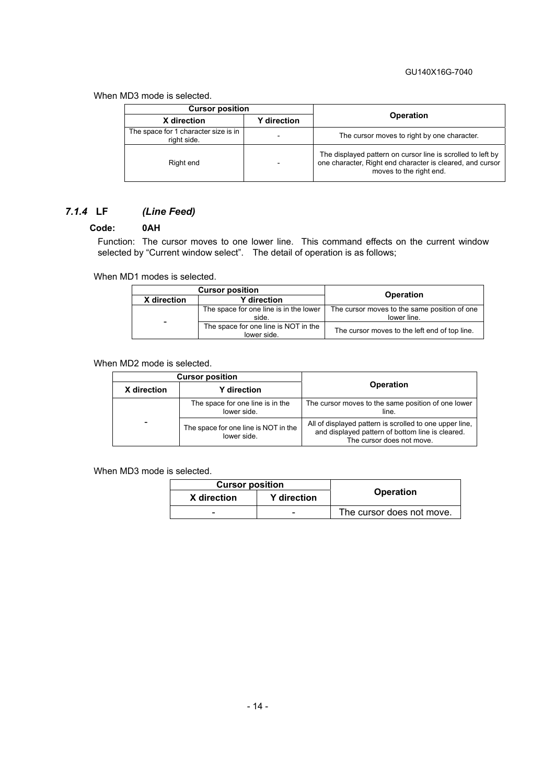#### GU140X16G-7040

#### When MD3 mode is selected.

| <b>Cursor position</b>                              |                    |                                                                                                                                                     |
|-----------------------------------------------------|--------------------|-----------------------------------------------------------------------------------------------------------------------------------------------------|
| X direction                                         | <b>Y</b> direction | <b>Operation</b>                                                                                                                                    |
| The space for 1 character size is in<br>right side. |                    | The cursor moves to right by one character.                                                                                                         |
| Right end                                           |                    | The displayed pattern on cursor line is scrolled to left by<br>one character, Right end character is cleared, and cursor<br>moves to the right end. |

# *7.1.4* **LF** *(Line Feed)*

#### **Code: 0AH**

Function: The cursor moves to one lower line. This command effects on the current window selected by "Current window select". The detail of operation is as follows;

When MD1 modes is selected.

| <b>Cursor position</b>            |                                                     | <b>Operation</b>                                            |
|-----------------------------------|-----------------------------------------------------|-------------------------------------------------------------|
| <b>Y</b> direction<br>X direction |                                                     |                                                             |
|                                   | The space for one line is in the lower<br>side.     | The cursor moves to the same position of one<br>lower line. |
| $\overline{\phantom{0}}$          | The space for one line is NOT in the<br>lower side. | The cursor moves to the left end of top line.               |

#### When MD2 mode is selected.

| <b>Cursor position</b>                                   |                                                 |                                                                                                                                          |
|----------------------------------------------------------|-------------------------------------------------|------------------------------------------------------------------------------------------------------------------------------------------|
| X direction                                              | <b>Y</b> direction                              | Operation                                                                                                                                |
|                                                          | The space for one line is in the<br>lower side. | The cursor moves to the same position of one lower<br>line.                                                                              |
| -<br>The space for one line is NOT in the<br>lower side. |                                                 | All of displayed pattern is scrolled to one upper line,<br>and displayed pattern of bottom line is cleared.<br>The cursor does not move. |

When MD3 mode is selected.

| <b>Cursor position</b> |                          |                           |
|------------------------|--------------------------|---------------------------|
| X direction            | <b>Y</b> direction       | <b>Operation</b>          |
| -                      | $\overline{\phantom{0}}$ | The cursor does not move. |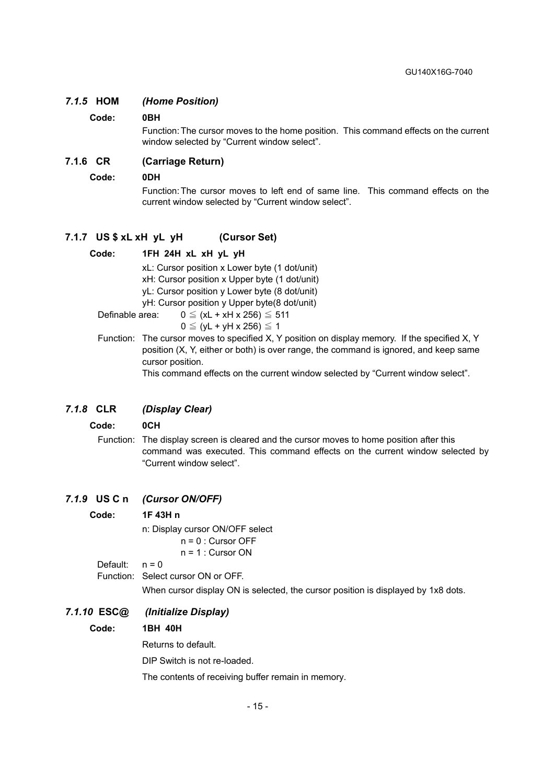#### *7.1.5* **HOM** *(Home Position)*

#### **Code: 0BH**

Function: The cursor moves to the home position. This command effects on the current window selected by "Current window select".

#### **7.1.6 CR (Carriage Return)**

#### **Code: 0DH**

Function: The cursor moves to left end of same line. This command effects on the current window selected by "Current window select".

#### **7.1.7 US \$ xL xH yL yH (Cursor Set)**

#### **Code: 1FH 24H xL xH yL yH**

 xL: Cursor position x Lower byte (1 dot/unit) xH: Cursor position x Upper byte (1 dot/unit) yL: Cursor position y Lower byte (8 dot/unit) yH: Cursor position y Upper byte(8 dot/unit)

Definable area:  $0 \leq (xL + xH) x 256 \leq 511$ 

- $0 \le (vL + vH \times 256) \le 1$
- Function: The cursor moves to specified X, Y position on display memory. If the specified X, Y position (X, Y, either or both) is over range, the command is ignored, and keep same cursor position.

This command effects on the current window selected by "Current window select".

#### *7.1.8* **CLR** *(Display Clear)*

#### **Code: 0CH**

Function: The display screen is cleared and the cursor moves to home position after this command was executed. This command effects on the current window selected by "Current window select".

#### *7.1.9* **US C n** *(Cursor ON/OFF)*

**Code: 1F 43H n**  n: Display cursor ON/OFF select n = 0 : Cursor OFF  $n = 1$  : Cursor ON Default:  $n = 0$ Function: Select cursor ON or OFF. When cursor display ON is selected, the cursor position is displayed by 1x8 dots. *7.1.10* **ESC@** *(Initialize Display)*  **Code: 1BH 40H**  Returns to default.

DIP Switch is not re-loaded.

The contents of receiving buffer remain in memory.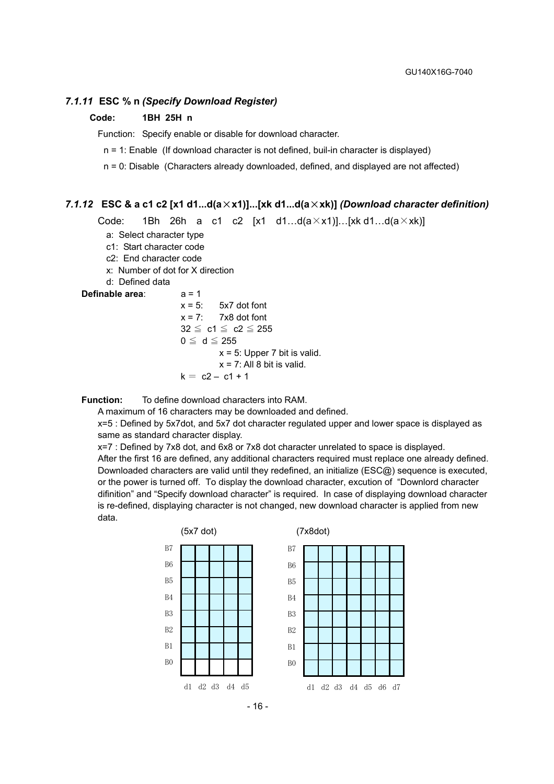#### *7.1.11* **ESC % n** *(Specify Download Register)*

#### **Code: 1BH 25H n**

Function: Specify enable or disable for download character.

n = 1: Enable (If download character is not defined, buil-in character is displayed)

n = 0: Disable (Characters already downloaded, defined, and displayed are not affected)

#### *7.1.12* **ESC & a c1 c2 [x1 d1...d(a**×**x1)]...[xk d1...d(a**×**xk)]** *(Download character definition)*

Code: 1Bh 26h a c1 c2  $[x1 \ d1...d(a \times x1)]...[xk d1...d(a \times xk)]$ 

- a: Select character type
- c1: Start character code
- c2: End character code
- x: Number of dot for X direction
- d: Defined data

#### **Definable area**: a = 1

 $x = 5$ :  $5x7$  dot font  $x = 7$ : 7x8 dot font  $32 \leq c1 \leq c2 \leq 255$  $0 \leq d \leq 255$  $x = 5$ : Upper 7 bit is valid.  $x = 7$ : All 8 bit is valid.  $k = c2 - c1 + 1$ 

**Function:** To define download characters into RAM.

A maximum of 16 characters may be downloaded and defined.

x=5 : Defined by 5x7dot, and 5x7 dot character regulated upper and lower space is displayed as same as standard character display.

x=7 : Defined by 7x8 dot, and 6x8 or 7x8 dot character unrelated to space is displayed. After the first 16 are defined, any additional characters required must replace one already defined. Downloaded characters are valid until they redefined, an initialize (ESC@) sequence is executed, or the power is turned off. To display the download character, excution of "Downlord character difinition" and "Specify download character" is required. In case of displaying download character is re-defined, displaying character is not changed, new download character is applied from new data.



- 16 -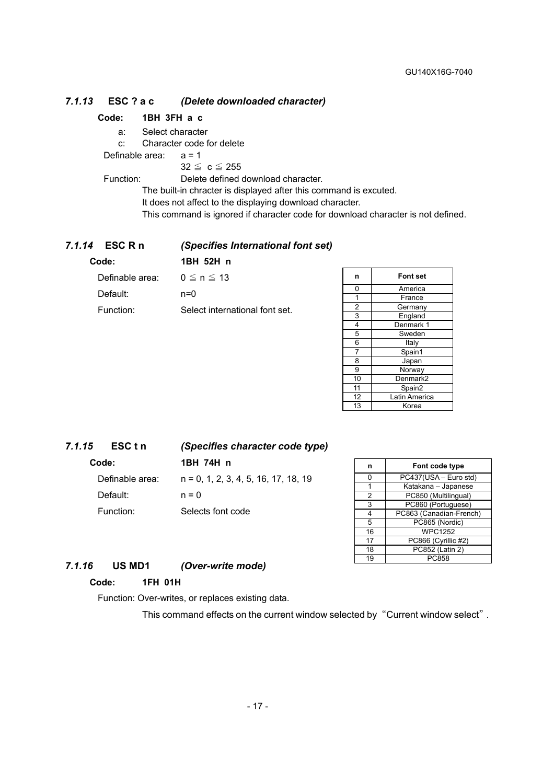#### *7.1.13* **ESC ? a c** *(Delete downloaded character)*

#### **Code: 1BH 3FH a c**

a: Select character

c: Character code for delete

Definable area:  $a = 1$ 

 $32 \leq c \leq 255$ 

Function: Delete defined download character.

The built-in chracter is displayed after this command is excuted.

It does not affect to the displaying download character.

This command is ignored if character code for download character is not defined.

#### *7.1.14* **ESC R n** *(Specifies International font set)*

#### **Code: 1BH 52H n**

| Definable area: | $0 \le n \le 13$               |
|-----------------|--------------------------------|
| Default:        | $n=0$                          |
| Function:       | Select international font set. |

| n              | <b>Font set</b>      |
|----------------|----------------------|
| 0              | America              |
| 1              | France               |
| 2              | Germany              |
| 3              | England              |
| 4              | Denmark 1            |
| 5              | Sweden               |
| 6              | Italy                |
| $\overline{7}$ | Spain1               |
| 8              | Japan                |
| 9              | Norway               |
| 10             | Denmark <sub>2</sub> |
| 11             | Spain2               |
| 12             | Latin America        |
| 13             | Korea                |

| 7.1.15 | ESC t n         | (Specifies character code type)        |
|--------|-----------------|----------------------------------------|
|        | Code:           | 1BH 74H n                              |
|        | Definable area: | $n = 0, 1, 2, 3, 4, 5, 16, 17, 18, 19$ |
|        | Default:        | $n = 0$                                |
|        | Function:       | Selects font code                      |

| n  | Font code type          |  |
|----|-------------------------|--|
| o  | PC437(USA - Euro std)   |  |
|    | Katakana - Japanese     |  |
| 2  | PC850 (Multilingual)    |  |
| 3  | PC860 (Portuguese)      |  |
| 4  | PC863 (Canadian-French) |  |
| 5  | PC865 (Nordic)          |  |
| 16 | <b>WPC1252</b>          |  |
| 17 | PC866 (Cyrillic #2)     |  |
| 18 | $PC852$ (Latin 2)       |  |
| 19 | PC858                   |  |

### *7.1.16* **US MD1** *(Over-write mode)*

#### **Code: 1FH 01H**

Function: Over-writes, or replaces existing data.

This command effects on the current window selected by "Current window select".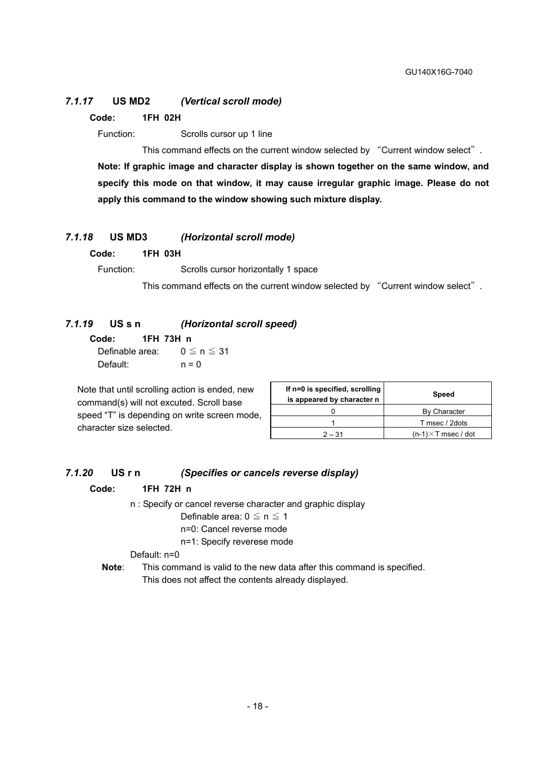#### *7.1.17* **US MD2** *(Vertical scroll mode)*

**Code: 1FH 02H** 

Function: Scrolls cursor up 1 line

This command effects on the current window selected by "Current window select". **Note: If graphic image and character display is shown together on the same window, and specify this mode on that window, it may cause irregular graphic image. Please do not apply this command to the window showing such mixture display.** 

#### *7.1.18* **US MD3** *(Horizontal scroll mode)*

**Code: 1FH 03H** 

Function: Scrolls cursor horizontally 1 space

This command effects on the current window selected by "Current window select".

#### *7.1.19* **US s n** *(Horizontal scroll speed)*

**Code: 1FH 73H n**  Definable area:  $0 \le n \le 31$ Default:  $n = 0$ 

Note that until scrolling action is ended, new command(s) will not excuted. Scroll base speed "T" is depending on write screen mode, character size selected.

| If n=0 is specified, scrolling<br>is appeared by character n | Speed                       |
|--------------------------------------------------------------|-----------------------------|
|                                                              | By Character                |
|                                                              | T msec / 2dots              |
| $2 - 31$                                                     | $(n-1) \times T$ msec / dot |

#### *7.1.20* **US r n** *(Specifies or cancels reverse display)*

#### **Code: 1FH 72H n**

n : Specify or cancel reverse character and graphic display

#### Definable area:  $0 \le n \le 1$

n=0: Cancel reverse mode

n=1: Specify reverese mode

Default: n=0

**Note**: This command is valid to the new data after this command is specified. This does not affect the contents already displayed.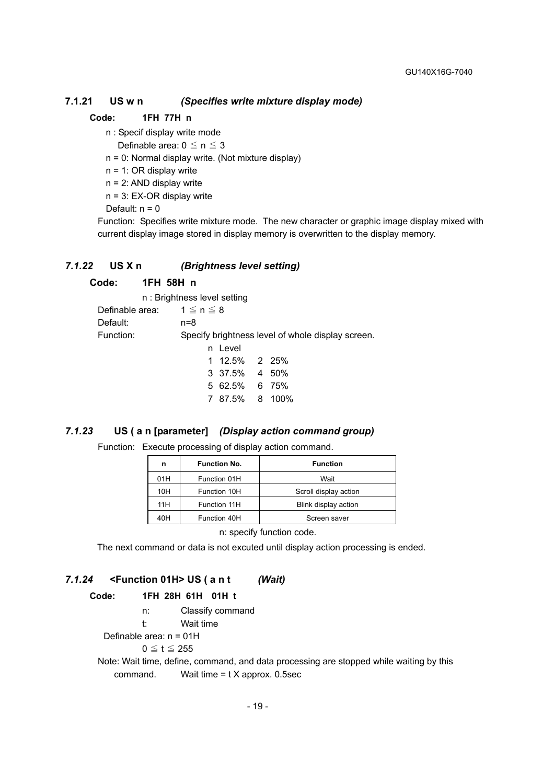#### **7.1.21 US w n** *(Specifies write mixture display mode)*

#### **Code: 1FH 77H n**

n : Specif display write mode

Definable area:  $0 \le n \le 3$ 

n = 0: Normal display write. (Not mixture display)

n = 1: OR display write

n = 2: AND display write

n = 3: EX-OR display write

Default:  $n = 0$ 

Function: Specifies write mixture mode. The new character or graphic image display mixed with current display image stored in display memory is overwritten to the display memory.

#### *7.1.22* **US X n** *(Brightness level setting)*

#### **Code: 1FH 58H n**

 n : Brightness level setting Definable area:  $1 \le n \le 8$ Default: n=8 Function: Specify brightness level of whole display screen. n Level 1 12.5% 2 25% 3 37.5% 4 50% 5 62.5% 6 75% 7 87.5% 8 100%

#### *7.1.23* **US ( a n [parameter]** *(Display action command group)*

Function: Execute processing of display action command.

| n   | <b>Function No.</b> | <b>Function</b>       |
|-----|---------------------|-----------------------|
| 01H | Function 01H        | Wait                  |
| 10H | Function 10H        | Scroll display action |
| 11H | Function 11H        | Blink display action  |
| 40H | Function 40H        | Screen saver          |
|     |                     |                       |

n: specify function code.

The next command or data is not excuted until display action processing is ended.

#### *7.1.24* **<Function 01H> US ( a n t** *(Wait)*

#### **Code: 1FH 28H 61H 01H t**

n: Classify command

t: Wait time

Definable area: n = 01H

 $0 \leq t \leq 255$ 

Note: Wait time, define, command, and data processing are stopped while waiting by this command. Wait time = t X approx. 0.5sec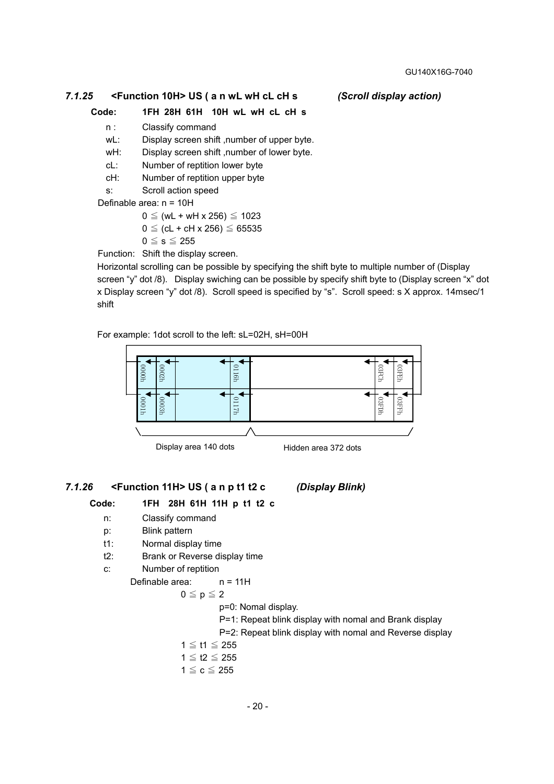#### *7.1.25* **<Function 10H> US ( a n wL wH cL cH s** *(Scroll display action)*

#### **Code: 1FH 28H 61H 10H wL wH cL cH s**

- n : Classify command
- wL: Display screen shift , number of upper byte.
- wH: Display screen shift ,number of lower byte.
- cL: Number of reptition lower byte
- cH: Number of reptition upper byte
- s: Scroll action speed

Definable area: n = 10H

$$
0 \leq (wL + wH \times 256) \leq 1023
$$

$$
0 \leq (cL + cH \times 256) \leq 65535
$$

 $0 \leq s \leq 255$ 

Function: Shift the display screen.

Horizontal scrolling can be possible by specifying the shift byte to multiple number of (Display screen "y" dot /8). Display swiching can be possible by specify shift byte to (Display screen "x" dot x Display screen "y" dot /8). Scroll speed is specified by "s". Scroll speed: s X approx. 14msec/1 shift

For example: 1dot scroll to the left: sL=02H, sH=00H



Display area 140 dots Hidden area 372 dots

#### *7.1.26* **<Function 11H> US ( a n p t1 t2 c** *(Display Blink)*

#### **Code: 1FH 28H 61H 11H p t1 t2 c**

- n: Classify command
- p: Blink pattern
- t1: Normal display time
- t2: Brank or Reverse display time
- c: Number of reptition

Definable area: n = 11H

$$
0\leqq\mathsf{p}\leqq2
$$

p=0: Nomal display.

- P=1: Repeat blink display with nomal and Brank display
- P=2: Repeat blink display with nomal and Reverse display
- 1 ≦ t1 ≦ 255
- 1  $≤$  t2  $≤$  255
- $1 \leq c \leq 255$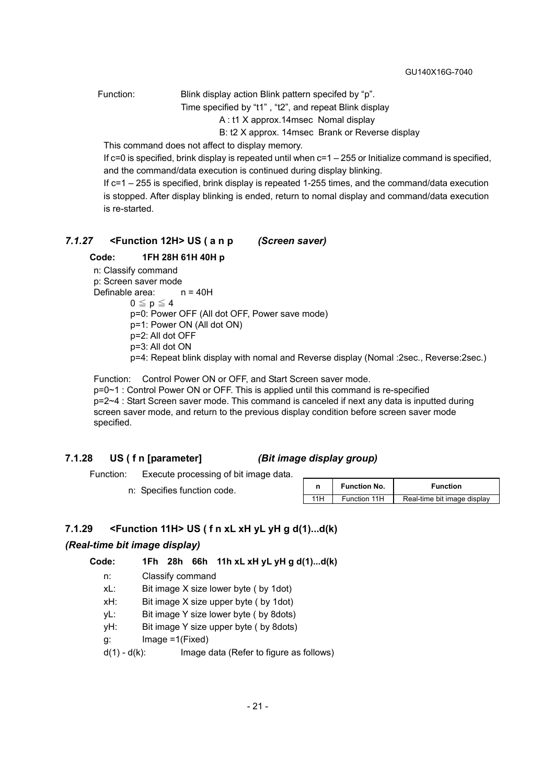Function: Blink display action Blink pattern specifed by "p".

Time specified by "t1" , "t2", and repeat Blink display

A : t1 X approx.14msec Nomal display

B: t2 X approx. 14msec Brank or Reverse display

This command does not affect to display memory.

If c=0 is specified, brink display is repeated until when c=1 – 255 or Initialize command is specified, and the command/data execution is continued during display blinking.

If c=1 – 255 is specified, brink display is repeated 1-255 times, and the command/data execution is stopped. After display blinking is ended, return to nomal display and command/data execution is re-started.

#### *7.1.27* **<Function 12H> US ( a n p** *(Screen saver)*

#### **Code: 1FH 28H 61H 40H p**

n: Classify command

p: Screen saver mode Definable area: n = 40H  $0 \leq p \leq 4$ p=0: Power OFF (All dot OFF, Power save mode) p=1: Power ON (All dot ON) p=2: All dot OFF p=3: All dot ON

p=4: Repeat blink display with nomal and Reverse display (Nomal :2sec., Reverse:2sec.)

Function: Control Power ON or OFF, and Start Screen saver mode. p=0~1 : Control Power ON or OFF. This is applied until this command is re-specified p=2~4 : Start Screen saver mode. This command is canceled if next any data is inputted during screen saver mode, and return to the previous display condition before screen saver mode specified.

#### **7.1.28 US ( f n [parameter]** *(Bit image display group)*

Function: Execute processing of bit image data.

n: Specifies function code.

|     | <b>Function No.</b> | <b>Function</b>             |
|-----|---------------------|-----------------------------|
| 11H | Function 11H        | Real-time bit image display |

#### **7.1.29 <Function 11H> US ( f n xL xH yL yH g d(1)...d(k)**

#### *(Real-time bit image display)*

**Code: 1Fh 28h 66h 11h xL xH yL yH g d(1)...d(k)** 

n: Classify command

xL: Bit image X size lower byte ( by 1dot)

xH: Bit image X size upper byte ( by 1dot)

- yL: Bit image Y size lower byte ( by 8dots)
- yH: Bit image Y size upper byte ( by 8dots)

g: Image =1(Fixed)

 $d(1) - d(k)$ : Image data (Refer to figure as follows)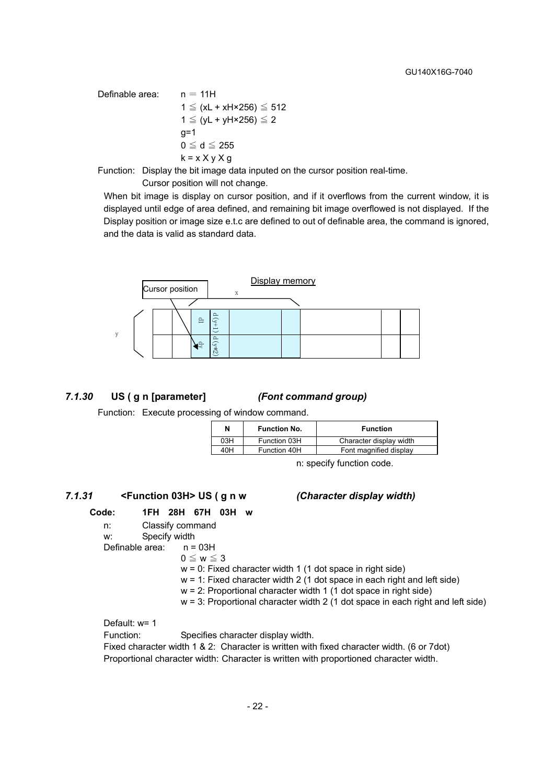Definable area:  $n = 11H$  $1 \leq (xL + xH \times 256) \leq 512$ 1  $≤$  (vL + vH×256)  $≤$  2  $q=1$  $0 \leq d \leq 255$  $k = x \times y \times g$ 

Function: Display the bit image data inputed on the cursor position real-time.

Cursor position will not change.

When bit image is display on cursor position, and if it overflows from the current window, it is displayed until edge of area defined, and remaining bit image overflowed is not displayed. If the Display position or image size e.t.c are defined to out of definable area, the command is ignored, and the data is valid as standard data.



#### *7.1.30* **US ( g n [parameter]** *(Font command group)*

Function: Execute processing of window command.

| N   | <b>Function No.</b> | <b>Function</b>         |
|-----|---------------------|-------------------------|
| 03H | Function 03H        | Character display width |
| 40H | Function 40H        | Font magnified display  |

n: specify function code.

#### *7.1.31* **<Function 03H> US ( g n w** *(Character display width)*

#### **Code: 1FH 28H 67H 03H w**

 n: Classify command w: Specify width Definable area: n = 03H  $0 \leq w \leq 3$  $w = 0$ : Fixed character width 1 (1 dot space in right side)  $w = 1$ : Fixed character width 2 (1 dot space in each right and left side) w = 2: Proportional character width 1 (1 dot space in right side)  $w = 3$ : Proportional character width 2 (1 dot space in each right and left side)

Default: w= 1

Function: Specifies character display width.

Fixed character width 1 & 2: Character is written with fixed character width. (6 or 7dot) Proportional character width: Character is written with proportioned character width.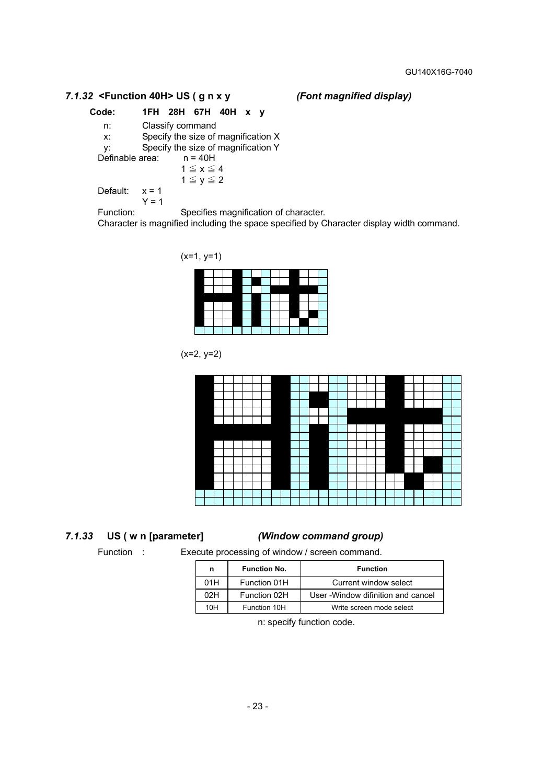#### *7.1.32* **<Function 40H> US ( g n x y** *(Font magnified display)*

**Code: 1FH 28H 67H 40H x y** 

 n: Classify command x: Specify the size of magnification X y: Specify the size of magnification Y<br>
Definable area:  $n = 40H$ Definable area:  $1 \le x \le 4$  $1 \le y \le 2$ Default:  $x = 1$ 

 $Y = 1$ 

Function: Specifies magnification of character.

Character is magnified including the space specified by Character display width command.



 $(x=2, y=2)$ 



#### *7.1.33* **US ( w n [parameter]** *(Window command group)*

Function : Execute processing of window / screen command.

| n   | <b>Function No.</b> | <b>Function</b>                     |
|-----|---------------------|-------------------------------------|
| 01H | Function 01H        | Current window select               |
| 02H | Function 02H        | User - Window difinition and cancel |
| 10H | Function 10H        | Write screen mode select            |

n: specify function code.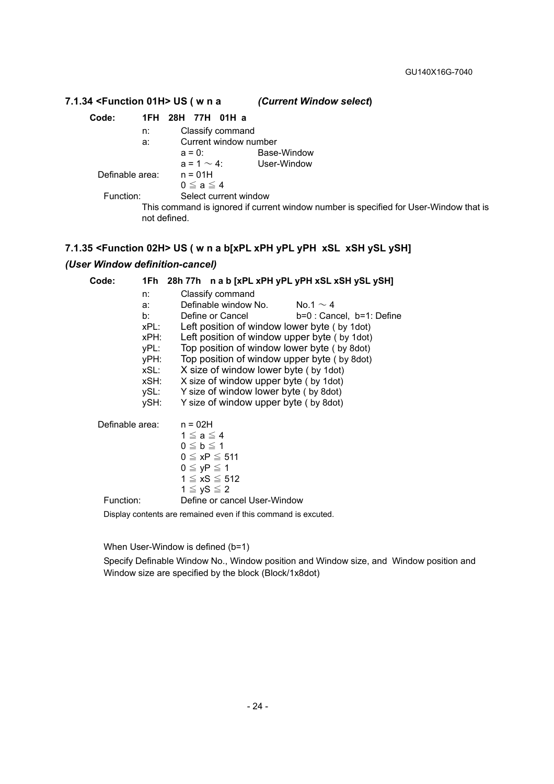#### **7.1.34 <Function 01H> US ( w n a** *(Current Window select***) Code: 1FH 28H 77H 01H a**  n: Classify command a: Current window number a = 0: Base-Window  $a = 1 \sim 4$ : User-Window Definable area: n = 01H  $0 \le a \le 4$ Function: Select current window This command is ignored if current window number is specified for User-Window that is not defined.

#### **7.1.35 <Function 02H> US ( w n a b[xPL xPH yPL yPH xSL xSH ySL ySH]**

#### *(User Window definition-cancel)*

| Code:                                                          | 1Fh 28h 77h nab [xPL xPH yPL yPH xSL xSH ySL ySH]                                                                                                                                                                                                                                                                                                                                                                                                                                              |
|----------------------------------------------------------------|------------------------------------------------------------------------------------------------------------------------------------------------------------------------------------------------------------------------------------------------------------------------------------------------------------------------------------------------------------------------------------------------------------------------------------------------------------------------------------------------|
| n:<br>a:<br>b:<br>xPH:<br>yPH:<br>xSL:<br>xSH:<br>ySL:<br>ySH: | Classify command<br>Definable window No.<br>No.1 $\sim$ 4<br>Define or Cancel<br>b=0 : Cancel, b=1: Define<br>xPL:<br>Left position of window lower byte (by 1 dot)<br>Left position of window upper byte (by 1 dot)<br>Top position of window lower byte (by 8dot)<br>yPL:<br>Top position of window upper byte (by 8dot)<br>X size of window lower byte (by 1dot)<br>X size of window upper byte (by 1dot)<br>Y size of window lower byte (by 8dot)<br>Y size of window upper byte (by 8dot) |
| Definable area:                                                | $n = 02H$<br>$1 \leq a \leq 4$<br>$0 \leq b \leq 1$<br>$0 \leq xP \leq 511$<br>$0 \leq yP \leq 1$<br>$1 \le xS \le 512$<br>$1 \le yS \le 2$                                                                                                                                                                                                                                                                                                                                                    |
| Function:                                                      | Define or cancel User-Window                                                                                                                                                                                                                                                                                                                                                                                                                                                                   |
|                                                                | Display contents are remained even if this command is excuted.                                                                                                                                                                                                                                                                                                                                                                                                                                 |

When User-Window is defined (b=1)

Specify Definable Window No., Window position and Window size, and Window position and Window size are specified by the block (Block/1x8dot)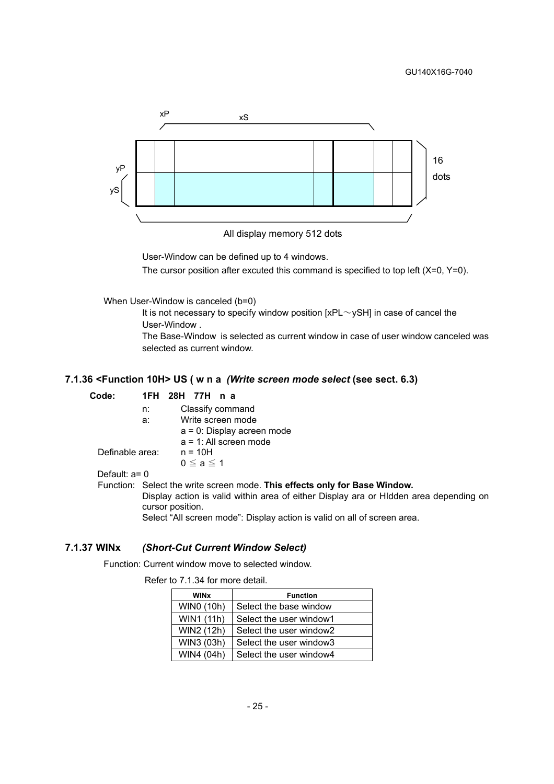

All display memory 512 dots

User-Window can be defined up to 4 windows.

The cursor position after excuted this command is specified to top left (X=0, Y=0).

When User-Window is canceled (b=0)

It is not necessary to specify window position  $[xPL \sim ySH]$  in case of cancel the User-Window .

The Base-Window is selected as current window in case of user window canceled was selected as current window.

#### **7.1.36 <Function 10H> US ( w n a** *(Write screen mode select* **(see sect. 6.3)**

#### **Code: 1FH 28H 77H n a**

| Classify command |
|------------------|
|                  |

a: Write screen mode

a = 0: Display acreen mode

a = 1: All screen mode

Definable area: n = 10H

 $0 \le a \le 1$ 

#### Default: a= 0

Function: Select the write screen mode. **This effects only for Base Window.** Display action is valid within area of either Display ara or HIdden area depending on cursor position. Select "All screen mode": Display action is valid on all of screen area.

#### **7.1.37 WINx** *(Short-Cut Current Window Select)*

Function: Current window move to selected window.

#### Refer to 7.1.34 for more detail.

| <b>WINx</b> | <b>Function</b>         |
|-------------|-------------------------|
| WIN0 (10h)  | Select the base window  |
| WIN1 (11h)  | Select the user window1 |
| WIN2 (12h)  | Select the user window2 |
| WIN3 (03h)  | Select the user window3 |
| WIN4 (04h)  | Select the user window4 |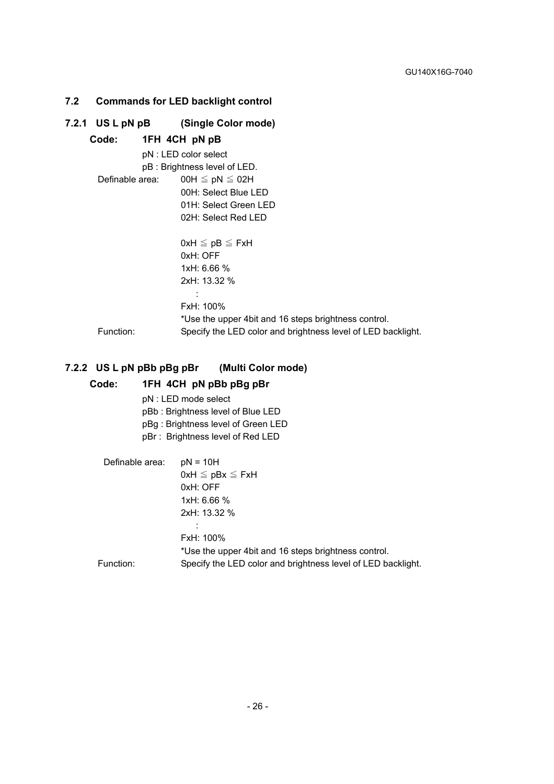# **7.2 Commands for LED backlight control**

|                 | 7.2.1 US L pN pB (Single Color mode)                         |
|-----------------|--------------------------------------------------------------|
|                 | Code: 1FH 4CH pN pB                                          |
|                 | pN : LED color select                                        |
|                 | pB: Brightness level of LED.                                 |
| Definable area: | $00H \leq pN \leq 02H$                                       |
|                 | 00H: Select Blue LED                                         |
|                 | 01H: Select Green LED                                        |
|                 | 02H: Select Red LED                                          |
|                 |                                                              |
|                 | $0xH \leq pB \leq FxH$                                       |
|                 | 0xH: OFF                                                     |
|                 | 1xH: 6.66 %                                                  |
|                 | 2xH: 13.32 %                                                 |
|                 |                                                              |
|                 | FxH: 100%                                                    |
|                 | *Use the upper 4bit and 16 steps brightness control.         |
| Function:       | Specify the LED color and brightness level of LED backlight. |

# **7.2.2 US L pN pBb pBg pBr (Multi Color mode)**

#### **Code: 1FH 4CH pN pBb pBg pBr**

- pN : LED mode select
- pBb : Brightness level of Blue LED
- pBg : Brightness level of Green LED
- pBr : Brightness level of Red LED

| Definable area: | $pN = 10H$                                                   |
|-----------------|--------------------------------------------------------------|
|                 | $0xH \leq pBx \leq FxH$                                      |
|                 | 0xH: OFF                                                     |
|                 | 1xH: 6.66 %                                                  |
|                 | 2xH: 13.32 %                                                 |
|                 |                                                              |
|                 | FxH: 100%                                                    |
|                 | *Use the upper 4bit and 16 steps brightness control.         |
| Function:       | Specify the LED color and brightness level of LED backlight. |
|                 |                                                              |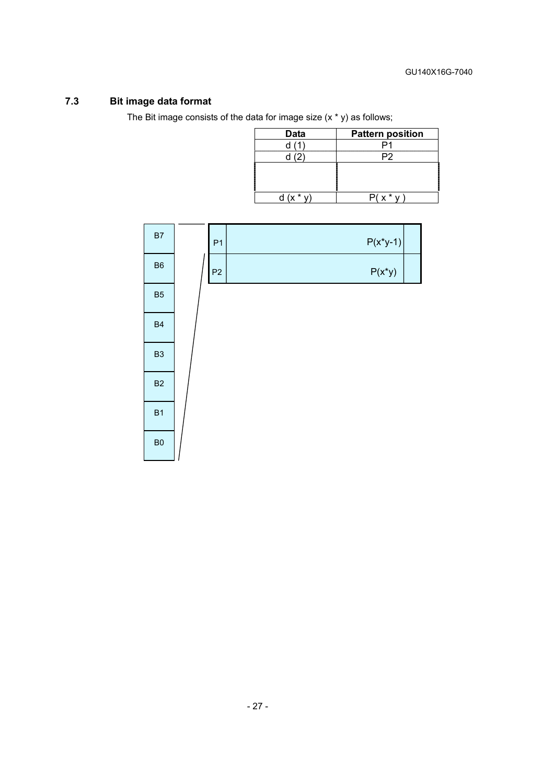# **7.3 Bit image data format**

The Bit image consists of the data for image size  $(x * y)$  as follows;

| Data | <b>Pattern position</b> |
|------|-------------------------|
| d(1) |                         |
| (2)  | P2                      |
|      |                         |
|      |                         |
|      |                         |
|      | *                       |

| B7             | P <sub>1</sub> | $P(x^*y-1)$ |  |
|----------------|----------------|-------------|--|
| B <sub>6</sub> | P2             | $P(x^*y)$   |  |
| B <sub>5</sub> |                |             |  |
| <b>B4</b>      |                |             |  |
| B <sub>3</sub> |                |             |  |
| B <sub>2</sub> |                |             |  |
| B <sub>1</sub> |                |             |  |
| B <sub>0</sub> |                |             |  |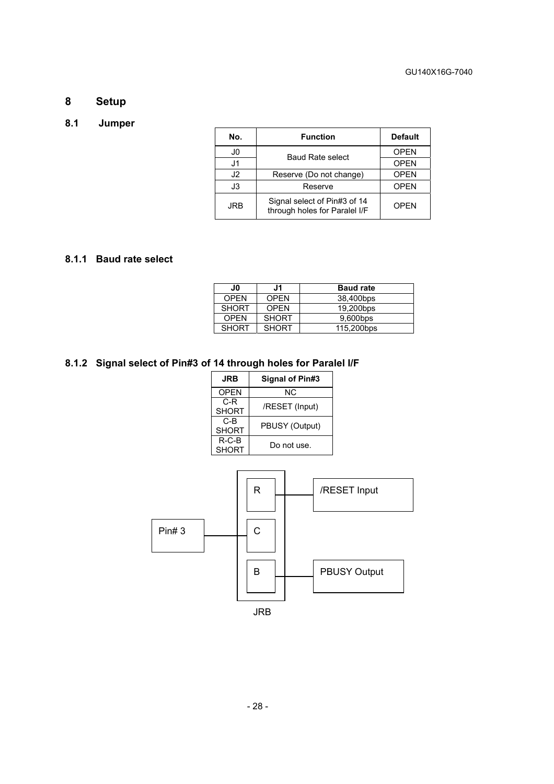# **8 Setup**

# **8.1 Jumper**

| No.        | <b>Function</b>                                               | <b>Default</b> |
|------------|---------------------------------------------------------------|----------------|
| J0         | <b>Baud Rate select</b>                                       | <b>OPEN</b>    |
| J1         |                                                               | <b>OPEN</b>    |
| J2         | Reserve (Do not change)                                       | <b>OPEN</b>    |
| J3         | Reserve                                                       | <b>OPEN</b>    |
| <b>JRB</b> | Signal select of Pin#3 of 14<br>through holes for Paralel I/F | OPFN           |

#### **8.1.1 Baud rate select**

| J0           | J1           | <b>Baud rate</b> |
|--------------|--------------|------------------|
| OPFN         | <b>OPFN</b>  | 38,400bps        |
| <b>SHORT</b> | <b>OPEN</b>  | 19,200bps        |
| OPFN         | <b>SHORT</b> | 9,600bps         |
| <b>SHORT</b> | <b>SHORT</b> | 115,200bps       |

# **8.1.2 Signal select of Pin#3 of 14 through holes for Paralel I/F**

| JRB                     | Signal of Pin#3 |
|-------------------------|-----------------|
| <b>OPEN</b>             | ΝC              |
| C-R<br><b>SHORT</b>     | /RESET (Input)  |
| C-B<br><b>SHORT</b>     | PBUSY (Output)  |
| $R-C-B$<br><b>SHORT</b> | Do not use.     |

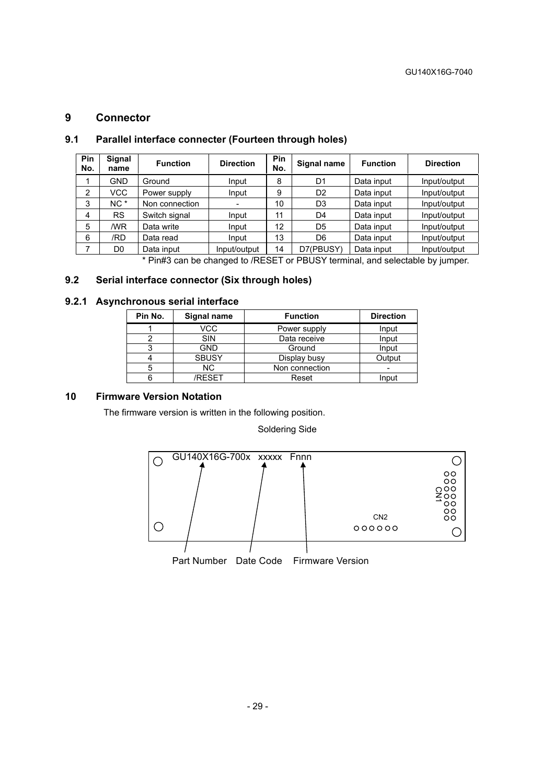#### **9 Connector**

| Pin<br>No.                                                                                                                                                                                                                                                                                                                                                                                                                                                                                                                                                                 | Signal<br>name | <b>Function</b> | <b>Direction</b> | Pin<br>No. | Signal name    | <b>Function</b> | <b>Direction</b> |
|----------------------------------------------------------------------------------------------------------------------------------------------------------------------------------------------------------------------------------------------------------------------------------------------------------------------------------------------------------------------------------------------------------------------------------------------------------------------------------------------------------------------------------------------------------------------------|----------------|-----------------|------------------|------------|----------------|-----------------|------------------|
|                                                                                                                                                                                                                                                                                                                                                                                                                                                                                                                                                                            | GND            | Ground          | Input            | 8          | D <sub>1</sub> | Data input      | Input/output     |
| 2                                                                                                                                                                                                                                                                                                                                                                                                                                                                                                                                                                          | VCC            | Power supply    | Input            | 9          | D <sub>2</sub> | Data input      | Input/output     |
| 3                                                                                                                                                                                                                                                                                                                                                                                                                                                                                                                                                                          | $NC^*$         | Non connection  |                  | 10         | D <sub>3</sub> | Data input      | Input/output     |
| 4                                                                                                                                                                                                                                                                                                                                                                                                                                                                                                                                                                          | <b>RS</b>      | Switch signal   | Input            | 11         | D4             | Data input      | Input/output     |
| 5                                                                                                                                                                                                                                                                                                                                                                                                                                                                                                                                                                          | /WR            | Data write      | Input            | 12         | D <sub>5</sub> | Data input      | Input/output     |
| 6                                                                                                                                                                                                                                                                                                                                                                                                                                                                                                                                                                          | /RD            | Data read       | Input            | 13         | D <sub>6</sub> | Data input      | Input/output     |
|                                                                                                                                                                                                                                                                                                                                                                                                                                                                                                                                                                            | D0             | Data input      | Input/output     | 14         | D7(PBUSY)      | Data input      | Input/output     |
| $\blacksquare$ $\blacksquare$ $\blacksquare$ $\blacksquare$ $\blacksquare$ $\blacksquare$ $\blacksquare$ $\blacksquare$ $\blacksquare$ $\blacksquare$ $\blacksquare$ $\blacksquare$ $\blacksquare$ $\blacksquare$ $\blacksquare$ $\blacksquare$ $\blacksquare$ $\blacksquare$ $\blacksquare$ $\blacksquare$ $\blacksquare$ $\blacksquare$ $\blacksquare$ $\blacksquare$ $\blacksquare$ $\blacksquare$ $\blacksquare$ $\blacksquare$ $\blacksquare$ $\blacksquare$ $\blacksquare$ $\blacks$<br><b>PRUOVALISTICION IN PRODUCTION AND INTERNATIONAL PRODUCTION CONTINUES.</b> |                |                 |                  |            |                |                 |                  |

#### **9.1 Parallel interface connecter (Fourteen through holes)**

\* Pin#3 can be changed to /RESET or PBUSY terminal, and selectable by jumper.

#### **9.2 Serial interface connector (Six through holes)**

#### **9.2.1 Asynchronous serial interface**

| Pin No. | Signal name<br><b>Function</b> |                | <b>Direction</b> |
|---------|--------------------------------|----------------|------------------|
|         | VCC                            | Power supply   |                  |
|         | <b>SIN</b>                     | Data receive   | Input            |
|         | <b>GND</b>                     | Ground         | Input            |
|         | <b>SBUSY</b>                   | Display busy   | Output           |
| 5       | NC.                            | Non connection |                  |
|         | /RFSFT                         | Reset          | Input            |

### **10 Firmware Version Notation**

The firmware version is written in the following position.

Soldering Side

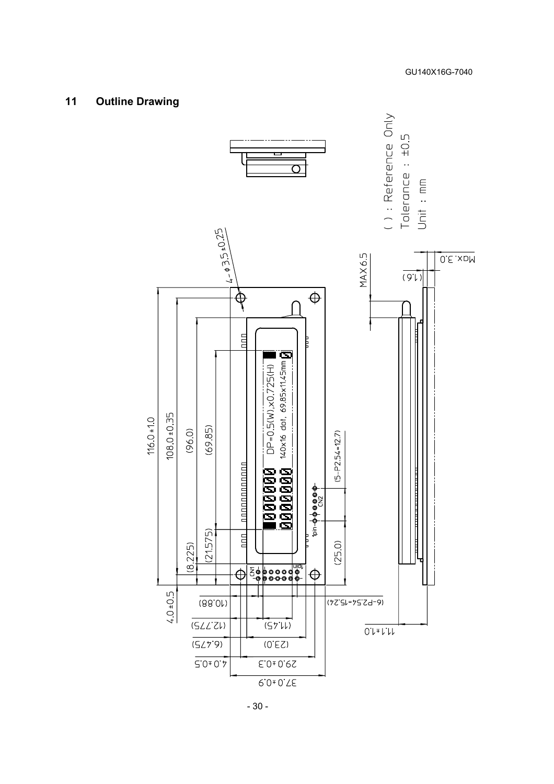# **11 Outline Drawing**

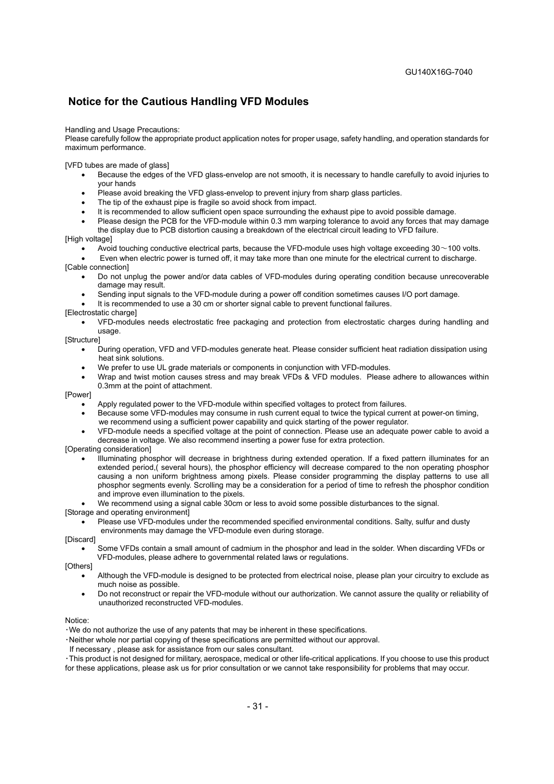#### **Notice for the Cautious Handling VFD Modules**

#### Handling and Usage Precautions:

Please carefully follow the appropriate product application notes for proper usage, safety handling, and operation standards for maximum performance.

[VFD tubes are made of glass]

- Because the edges of the VFD glass-envelop are not smooth, it is necessary to handle carefully to avoid injuries to your hands
- Please avoid breaking the VFD glass-envelop to prevent injury from sharp glass particles.
- The tip of the exhaust pipe is fragile so avoid shock from impact.
- It is recommended to allow sufficient open space surrounding the exhaust pipe to avoid possible damage.
- Please design the PCB for the VFD-module within 0.3 mm warping tolerance to avoid any forces that may damage the display due to PCB distortion causing a breakdown of the electrical circuit leading to VFD failure.

[High voltage]

Avoid touching conductive electrical parts, because the VFD-module uses high voltage exceeding 30~100 volts.

• Even when electric power is turned off, it may take more than one minute for the electrical current to discharge. [Cable connection]

- Do not unplug the power and/or data cables of VFD-modules during operating condition because unrecoverable damage may result.
- Sending input signals to the VFD-module during a power off condition sometimes causes I/O port damage.
- It is recommended to use a 30 cm or shorter signal cable to prevent functional failures.

[Electrostatic charge]

• VFD-modules needs electrostatic free packaging and protection from electrostatic charges during handling and usage.

[Structure]

- During operation, VFD and VFD-modules generate heat. Please consider sufficient heat radiation dissipation using heat sink solutions.
- We prefer to use UL grade materials or components in conjunction with VFD-modules.
- Wrap and twist motion causes stress and may break VFDs & VFD modules. Please adhere to allowances within 0.3mm at the point of attachment.

[Power]

- Apply regulated power to the VFD-module within specified voltages to protect from failures.
- Because some VFD-modules may consume in rush current equal to twice the typical current at power-on timing, we recommend using a sufficient power capability and quick starting of the power regulator.
- VFD-module needs a specified voltage at the point of connection. Please use an adequate power cable to avoid a decrease in voltage. We also recommend inserting a power fuse for extra protection.

[Operating consideration]

• Illuminating phosphor will decrease in brightness during extended operation. If a fixed pattern illuminates for an extended period,( several hours), the phosphor efficiency will decrease compared to the non operating phosphor causing a non uniform brightness among pixels. Please consider programming the display patterns to use all phosphor segments evenly. Scrolling may be a consideration for a period of time to refresh the phosphor condition and improve even illumination to the pixels.

• We recommend using a signal cable 30cm or less to avoid some possible disturbances to the signal.

[Storage and operating environment]

• Please use VFD-modules under the recommended specified environmental conditions. Salty, sulfur and dusty environments may damage the VFD-module even during storage.

[Discard]

• Some VFDs contain a small amount of cadmium in the phosphor and lead in the solder. When discarding VFDs or VFD-modules, please adhere to governmental related laws or regulations.

[Others]

- Although the VFD-module is designed to be protected from electrical noise, please plan your circuitry to exclude as much noise as possible.
- Do not reconstruct or repair the VFD-module without our authorization. We cannot assure the quality or reliability of unauthorized reconstructed VFD-modules.

Notice:

・We do not authorize the use of any patents that may be inherent in these specifications.

・Neither whole nor partial copying of these specifications are permitted without our approval.

If necessary , please ask for assistance from our sales consultant.

・This product is not designed for military, aerospace, medical or other life-critical applications. If you choose to use this product for these applications, please ask us for prior consultation or we cannot take responsibility for problems that may occur.